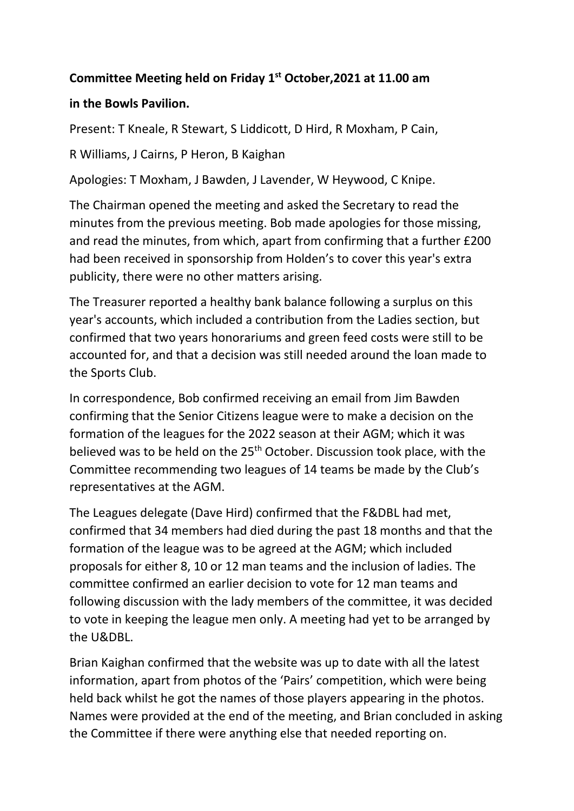## **Committee Meeting held on Friday 1st October,2021 at 11.00 am**

## **in the Bowls Pavilion.**

Present: T Kneale, R Stewart, S Liddicott, D Hird, R Moxham, P Cain,

R Williams, J Cairns, P Heron, B Kaighan

Apologies: T Moxham, J Bawden, J Lavender, W Heywood, C Knipe.

The Chairman opened the meeting and asked the Secretary to read the minutes from the previous meeting. Bob made apologies for those missing, and read the minutes, from which, apart from confirming that a further £200 had been received in sponsorship from Holden's to cover this year's extra publicity, there were no other matters arising.

The Treasurer reported a healthy bank balance following a surplus on this year's accounts, which included a contribution from the Ladies section, but confirmed that two years honorariums and green feed costs were still to be accounted for, and that a decision was still needed around the loan made to the Sports Club.

In correspondence, Bob confirmed receiving an email from Jim Bawden confirming that the Senior Citizens league were to make a decision on the formation of the leagues for the 2022 season at their AGM; which it was believed was to be held on the 25<sup>th</sup> October. Discussion took place, with the Committee recommending two leagues of 14 teams be made by the Club's representatives at the AGM.

The Leagues delegate (Dave Hird) confirmed that the F&DBL had met, confirmed that 34 members had died during the past 18 months and that the formation of the league was to be agreed at the AGM; which included proposals for either 8, 10 or 12 man teams and the inclusion of ladies. The committee confirmed an earlier decision to vote for 12 man teams and following discussion with the lady members of the committee, it was decided to vote in keeping the league men only. A meeting had yet to be arranged by the U&DBL.

Brian Kaighan confirmed that the website was up to date with all the latest information, apart from photos of the 'Pairs' competition, which were being held back whilst he got the names of those players appearing in the photos. Names were provided at the end of the meeting, and Brian concluded in asking the Committee if there were anything else that needed reporting on.